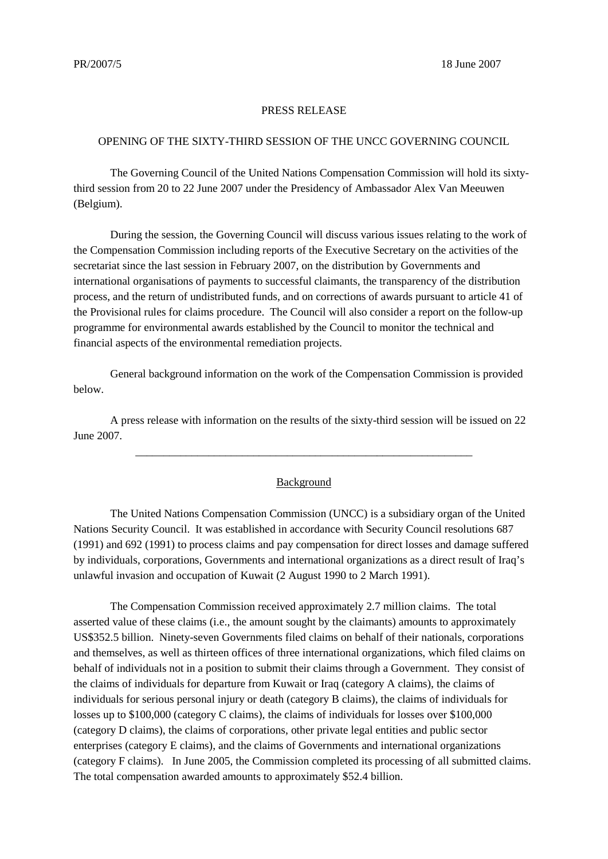## PRESS RELEASE

## OPENING OF THE SIXTY-THIRD SESSION OF THE UNCC GOVERNING COUNCIL

The Governing Council of the United Nations Compensation Commission will hold its sixtythird session from 20 to 22 June 2007 under the Presidency of Ambassador Alex Van Meeuwen (Belgium).

During the session, the Governing Council will discuss various issues relating to the work of the Compensation Commission including reports of the Executive Secretary on the activities of the secretariat since the last session in February 2007, on the distribution by Governments and international organisations of payments to successful claimants, the transparency of the distribution process, and the return of undistributed funds, and on corrections of awards pursuant to article 41 of the Provisional rules for claims procedure. The Council will also consider a report on the follow-up programme for environmental awards established by the Council to monitor the technical and financial aspects of the environmental remediation projects.

General background information on the work of the Compensation Commission is provided below.

A press release with information on the results of the sixty-third session will be issued on 22 June 2007.

## **Background**

\_\_\_\_\_\_\_\_\_\_\_\_\_\_\_\_\_\_\_\_\_\_\_\_\_\_\_\_\_\_\_\_\_\_\_\_\_\_\_\_\_\_\_\_\_\_\_\_\_\_\_\_\_\_\_\_\_\_\_\_

The United Nations Compensation Commission (UNCC) is a subsidiary organ of the United Nations Security Council. It was established in accordance with Security Council resolutions 687 (1991) and 692 (1991) to process claims and pay compensation for direct losses and damage suffered by individuals, corporations, Governments and international organizations as a direct result of Iraq's unlawful invasion and occupation of Kuwait (2 August 1990 to 2 March 1991).

The Compensation Commission received approximately 2.7 million claims. The total asserted value of these claims (i.e., the amount sought by the claimants) amounts to approximately US\$352.5 billion. Ninety-seven Governments filed claims on behalf of their nationals, corporations and themselves, as well as thirteen offices of three international organizations, which filed claims on behalf of individuals not in a position to submit their claims through a Government. They consist of the claims of individuals for departure from Kuwait or Iraq (category A claims), the claims of individuals for serious personal injury or death (category B claims), the claims of individuals for losses up to \$100,000 (category C claims), the claims of individuals for losses over \$100,000 (category D claims), the claims of corporations, other private legal entities and public sector enterprises (category E claims), and the claims of Governments and international organizations (category F claims). In June 2005, the Commission completed its processing of all submitted claims. The total compensation awarded amounts to approximately \$52.4 billion.